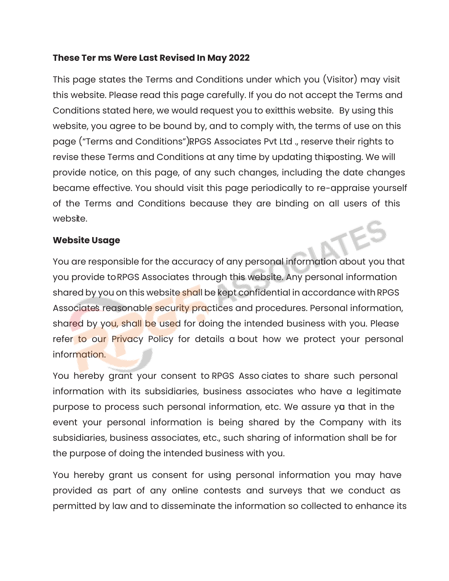#### **These Ter ms Were Last Revised In May 2022**

This page states the Terms and Conditions under which you (Visitor) may visit this website. Please read this page carefully. If you do not accept the Terms and Conditions stated here, we would request you to exitthis website. By using this website, you agree to be bound by, and to comply with, the terms of use on this page ("Terms and Conditions")RPGS Associates Pvt Ltd ., reserve their rights to revise these Terms and Conditions at any time by updating this posting. We will provide notice, on this page, of any such changes, including the date changes became effective. You should visit this page periodically to re-appraise yourself of the Terms and Conditions because they are binding on all users of this website.

## **Website Usage**

You are responsible for the accuracy of any personal information about you that you provide to RPGS Associates through this website. Any personal information shared by you on this website shall be kept confidential in accordance with RPGS Associate's reasonable security practices and procedures. Personal information, shared by you, shall be used for doing the intended business with you. Please refer to our Privacy Policy for details a bout how we protect your personal information.

You hereby grant your consent to RPGS Asso ciates to share such personal information with its subsidiaries, business associates who have a legitimate purpose to process such personal information, etc. We assure ya that in the event your personal information is being shared by the Company with its subsidiaries, business associates, etc., such sharing of information shall be for the purpose of doing the intended business with you.

You hereby grant us consent for using personal information you may have provided as part of any online contests and surveys that we conduct as permitted by law and to disseminate the information so collected to enhance its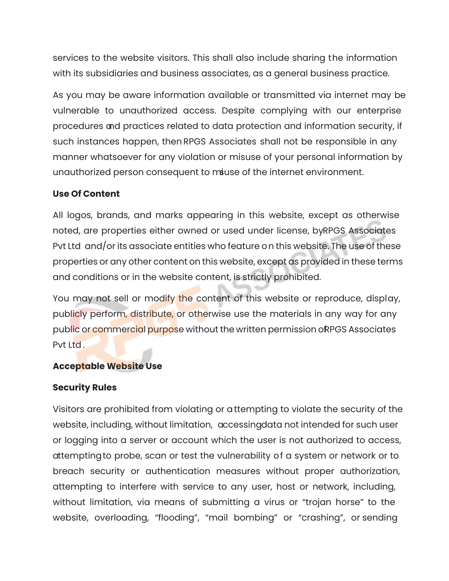services to the website visitors. This shall also include sharing the information with its subsidiaries and business associates, as a general business practice.

As you may be aware information available or transmitted via internet may be vulnerable to unauthorized access. Despite complying with our enterprise procedures and practices related to data protection and information security, if such instances happen, then RPGS Associates shall not be responsible in any manner whatsoever for any violation or misuse of your personal information by unauthorized person consequent to most of the internet environment.

# **Use Of Content**

All logos, brands, and marks appearing in this website, except as otherwise noted, are properties either owned or used under license, by RPGS Associates Pvt Ltd and/or its associate entities who feature on this website. The use of these properties or any other content on this website, except as provided in these terms and conditions or in the website content, is strictly prohibited.

You may not sell or modify the content of this website or reproduce, display, publicly perform, distribute, or otherwise use the materials in any way for any public or commercial purpose without the written permission of PGS Associates Pvt Ltd .

# **Acceptable Website Use**

#### **Security Rules**

Visitors are prohibited from violating or attempting to violate the security of the website, including, without limitation, accessingdata not intended for such user or logging into a server or account which the user is not authorized to access, attemptingto probe, scan or test the vulnerability of a system or network or to breach security or authentication measures without proper authorization, attempting to interfere with service to any user, host or network, including, without limitation, via means of submitting a virus or "trojan horse" to the website, overloading, "flooding", "mail bombing" or "crashing", or sending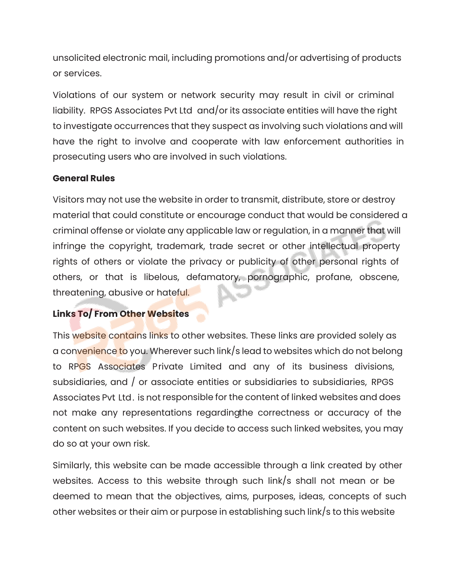unsolicited electronic mail, including promotions and/or advertising of products or services.

Violations of our system or network security may result in civil or criminal liability. RPGS Associates Pvt Ltd and/or its associate entities will have the right to investigate occurrences that they suspect as involving such violations and will have the right to involve and cooperate with law enforcement authorities in prosecuting users who are involved in such violations.

# **General Rules**

Visitors may not use the website in order to transmit, distribute, store or destroy material that could constitute or encourage conduct that would be considered a criminal offense or violate any applicable law or regulation, in a manner that will infringe the copyright, trademark, trade secret or other intellectual property rights of others or violate the privacy or publicity of other personal rights of others, or that is libelous, defamatory, pornographic, profane, obscene, threatening, abusive or hateful.

# **Links To/ From Other Websites**

This website contains links to other websites. These links are provided solely as a convenience to you. Wherever such link/s lead to websites which do not belong to RPGS Associates Private Limited and any of its business divisions, subsidiaries, and / or associate entities or subsidiaries to subsidiaries, RPGS Associates Pvt. Ltd. is not responsible for the content of linked websites and does not make any representations regarding the correctness or accuracy of the content on such websites. If you decide to access such linked websites, you may do so at your own risk.

Similarly, this website can be made accessible through a link created by other websites. Access to this website through such link/s shall not mean or be deemed to mean that the objectives, aims, purposes, ideas, concepts of such other websites or their aim or purpose in establishing such link/s to this website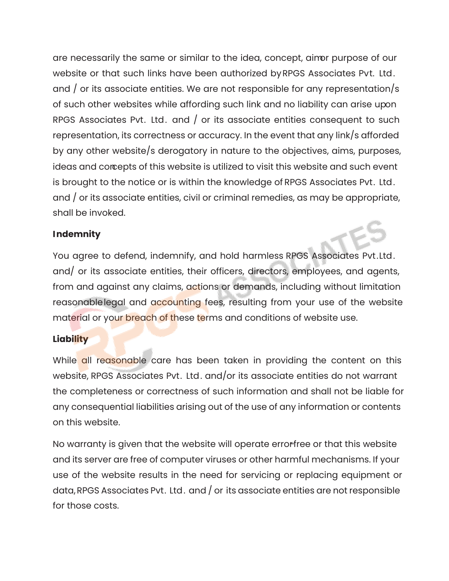are necessarily the same or similar to the idea, concept, aimor purpose of our website or that such links have been authorized by RPGS Associates Pvt. Ltd. and / or its associate entities. We are not responsible for any representation/s of such other websites while affording such link and no liability can arise upon RPGS Associates Pvt. Ltd. and / or its associate entities consequent to such representation, its correctness or accuracy. In the event that any link/s afforded by any other website/s derogatory in nature to the objectives, aims, purposes, ideas and concepts of this website is utilized to visit this website and such event is brought to the notice or is within the knowledge of RPGS Associates Pvt. Ltd. and / or its associate entities, civil or criminal remedies, as may be appropriate, shall be invoked.

## **Indemnity**

You agree to defend, indemnify, and hold harmless RPGS Associates Pvt.Ltd. and/ or its associate entities, their officers, directors, employees, and agents, from and against any claims, actions or demands, including without limitation reasonablelegal and accounting fees, resulting from your use of the website material or your breach of these terms and conditions of website use.

#### **Liability**

While all reasonable care has been taken in providing the content on this website, RPGS Associates Pvt. Ltd. and/or its associate entities do not warrant the completeness or correctness of such information and shall not be liable for any consequential liabilities arising out of the use of any information or contents on this website.

No warranty is given that the website will operate errorfree or that this website and its server are free of computer viruses or other harmful mechanisms. If your use of the website results in the need for servicing or replacing equipment or data, RPGS Associates Pvt. Ltd. and / or its associate entities are not responsible for those costs.